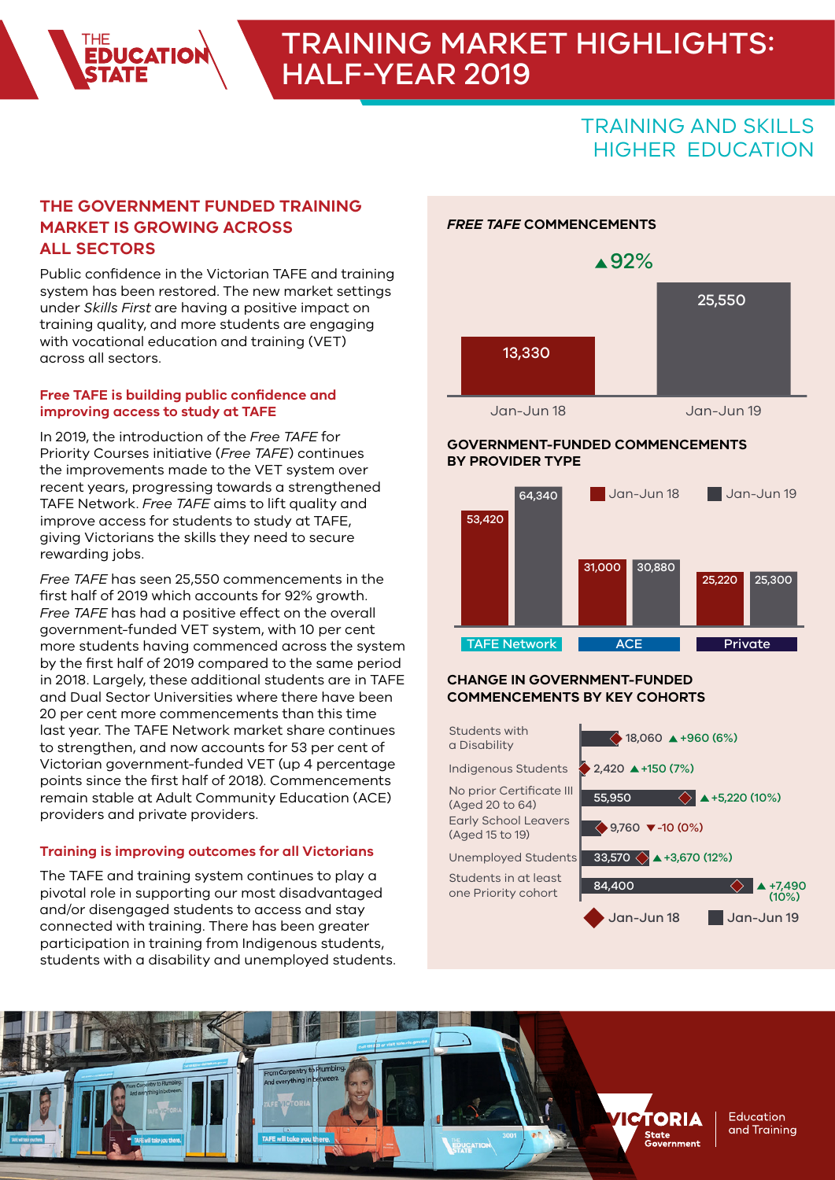# TRAINING MARKET HIGHLIGHTS: HALF-YEAR 2019

*FREE TAFE* **COMMENCEMENTS**

# TRAINING AND SKILLS HIGHER EDUCATION

## **THE GOVERNMENT FUNDED TRAINING MARKET IS GROWING ACROSS ALL SECTORS**

Public confidence in the Victorian TAFE and training system has been restored. The new market settings under *Skills First* are having a positive impact on training quality, and more students are engaging with vocational education and training (VET) across all sectors.

#### **Free TAFE is building public confidence and improving access to study at TAFE**

In 2019, the introduction of the *Free TAFE* for Priority Courses initiative (*Free TAFE*) continues the improvements made to the VET system over recent years, progressing towards a strengthened TAFE Network. *Free TAFE* aims to lift quality and improve access for students to study at TAFE, giving Victorians the skills they need to secure rewarding jobs.

*Free TAFE* has seen 25,550 commencements in the first half of 2019 which accounts for 92% growth. *Free TAFE* has had a positive effect on the overall government-funded VET system, with 10 per cent more students having commenced across the system by the first half of 2019 compared to the same period in 2018. Largely, these additional students are in TAFE and Dual Sector Universities where there have been 20 per cent more commencements than this time last year. The TAFE Network market share continues to strengthen, and now accounts for 53 per cent of Victorian government-funded VET (up 4 percentage points since the first half of 2018). Commencements remain stable at Adult Community Education (ACE) providers and private providers.

#### **Training is improving outcomes for all Victorians**

The TAFE and training system continues to play a pivotal role in supporting our most disadvantaged and/or disengaged students to access and stay connected with training. There has been greater participation in training from Indigenous students, students with a disability and unemployed students.



**GOVERNMENT-FUNDED COMMENCEMENTS** 

#### **BY PROVIDER TYPE** Jan-Jun 18 Jan-Jun 19 64,340



#### **CHANGE IN GOVERNMENT-FUNDED COMMENCEMENTS BY KEY COHORTS**